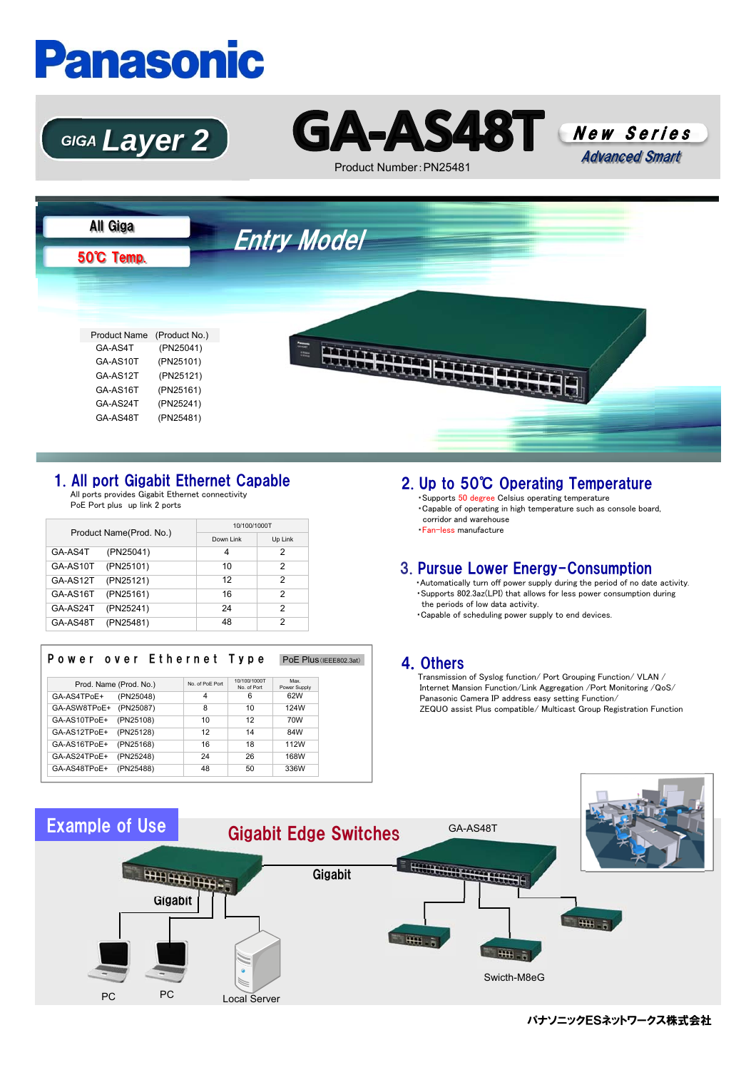# **Panasonic**





Product Number:PN25481





### 1. All port Gigabit Ethernet Capable

All ports provides Gigabit Ethernet connectivity PoE Port plus up link 2 ports

| Product Name(Prod. No.) |           | 10/100/1000T |         |  |
|-------------------------|-----------|--------------|---------|--|
|                         |           | Down Link    | Up Link |  |
| GA-AS4T                 | (PN25041) | 4            | 2       |  |
| GA-AS10T                | (PN25101) | 10           | 2       |  |
| GA-AS12T                | (PN25121) | 12           | 2       |  |
| GA-AS16T                | (PN25161) | 16           | っ       |  |
| GA-AS24T                | (PN25241) | 24           | 2       |  |
| GA-AS48T                | (PN25481) | 48           | っ       |  |

| Power over Ethernet Type  |                |                            | PoE Plus (IEEE802.3at) |
|---------------------------|----------------|----------------------------|------------------------|
|                           |                |                            |                        |
| Prod. Name (Prod. No.)    | No of PoF Port | 10/100/1000T<br>No of Port | Max<br>Power Supply    |
| (PN25048)<br>GA-AS4TPoE+  | 4              | 6                          | 62W                    |
| GA-ASW8TPoE+<br>(PN25087) | 8              | 10                         | 124W                   |
| (PN25108)<br>GA-AS10TPoE+ | 10             | 12                         | 70W                    |
| (PN25128)<br>GA-AS12TPoE+ | 12             | 14                         | 84W                    |
| (PN25168)<br>GA-AS16TPoE+ | 16             | 18                         | 112W                   |
| (PN25248)<br>GA-AS24TPoE+ | 24             | 26                         | 168W                   |
| (PN25488)<br>GA-AS48TPoE+ | 48             | 50                         | 336W                   |

## 2. Up to 50℃ Operating Temperature

・Supports 50 degree Celsius operating temperature ・Capable of operating in high temperature such as console board, corridor and warehouse ・Fan-less manufacture

#### 3. Pursue Lower Energy-Consumption

・Automatically turn off power supply during the period of no date activity. ・Supports 802.3az(LPI) that allows for less power consumption during the periods of low data activity.

・Capable of scheduling power supply to end devices.

#### 4.Others

Transmission of Syslog function/ Port Grouping Function/ VLAN / Internet Mansion Function/Link Aggregation /Port Monitoring /QoS/ Panasonic Camera IP address easy setting Function/ ZEQUO assist Plus compatible/ Multicast Group Registration Function